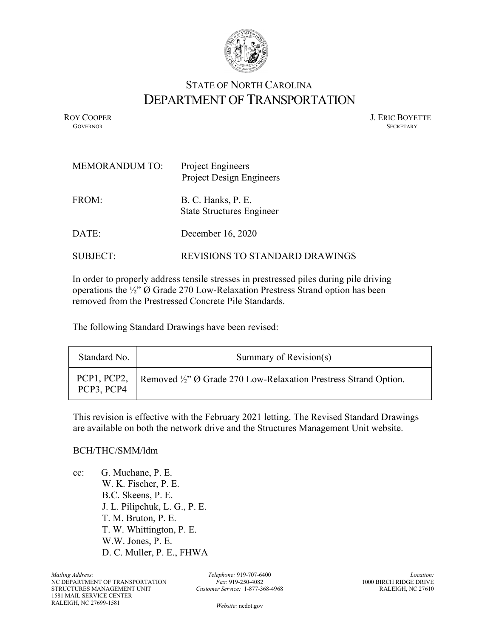

## STATE OF NORTH CAROLINA DEPARTMENT OF TRANSPORTATION

ROY COOPER J. ERIC BOYETTE GOVERNOR SECRETARY **GOVERNOR SECRETARY** SECRETARY

| <b>MEMORANDUM TO:</b> | Project Engineers<br>Project Design Engineers          |
|-----------------------|--------------------------------------------------------|
| FROM:                 | B. C. Hanks, P. E.<br><b>State Structures Engineer</b> |
| DATE:                 | December 16, 2020                                      |
| <b>SUBJECT:</b>       | REVISIONS TO STANDARD DRAWINGS                         |

In order to properly address tensile stresses in prestressed piles during pile driving operations the ½" Ø Grade 270 Low-Relaxation Prestress Strand option has been removed from the Prestressed Concrete Pile Standards.

The following Standard Drawings have been revised:

| Standard No. | Summary of Revision(s)                                                       |
|--------------|------------------------------------------------------------------------------|
| PCP3, PCP4   | PCP1, PCP2,   Removed ½" Ø Grade 270 Low-Relaxation Prestress Strand Option. |

This revision is effective with the February 2021 letting. The Revised Standard Drawings are available on both the network drive and the Structures Management Unit website.

## BCH/THC/SMM/ldm

cc: G. Muchane, P. E. W. K. Fischer, P. E. B.C. Skeens, P. E. J. L. Pilipchuk, L. G., P. E. T. M. Bruton, P. E. T. W. Whittington, P. E. W.W. Jones, P. E. D. C. Muller, P. E., FHWA

*Telephone:* 919-707-6400 *Fax:* 919-250-4082 *Customer Service:* 1-877-368-4968

*Location:* 1000 BIRCH RIDGE DRIVE RALEIGH, NC 27610